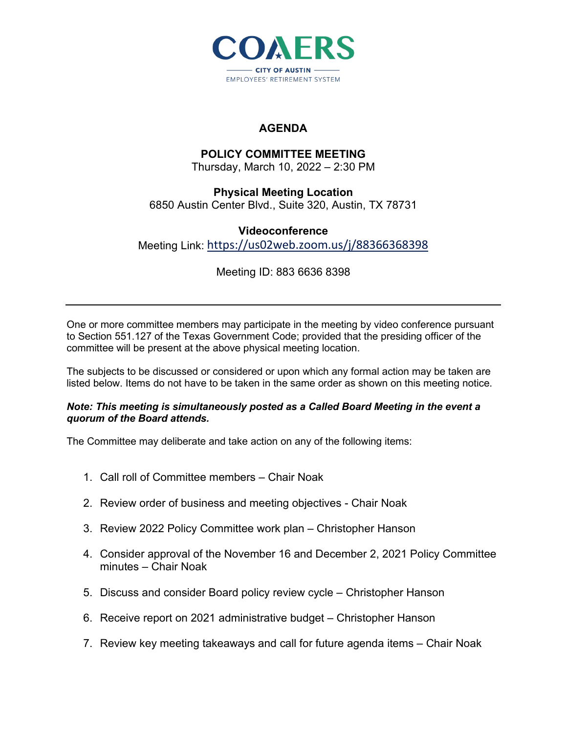

## **AGENDA**

## **POLICY COMMITTEE MEETING**

Thursday, March 10, 2022 – 2:30 PM

**Physical Meeting Location** 6850 Austin Center Blvd., Suite 320, Austin, TX 78731

**Videoconference** Meeting Link: <https://us02web.zoom.us/j/88366368398>

Meeting ID: 883 6636 8398

One or more committee members may participate in the meeting by video conference pursuant to Section 551.127 of the Texas Government Code; provided that the presiding officer of the committee will be present at the above physical meeting location.

The subjects to be discussed or considered or upon which any formal action may be taken are listed below. Items do not have to be taken in the same order as shown on this meeting notice.

## *Note: This meeting is simultaneously posted as a Called Board Meeting in the event a quorum of the Board attends.*

The Committee may deliberate and take action on any of the following items:

- 1. Call roll of Committee members Chair Noak
- 2. Review order of business and meeting objectives Chair Noak
- 3. Review 2022 Policy Committee work plan Christopher Hanson
- 4. Consider approval of the November 16 and December 2, 2021 Policy Committee minutes – Chair Noak
- 5. Discuss and consider Board policy review cycle Christopher Hanson
- 6. Receive report on 2021 administrative budget Christopher Hanson
- 7. Review key meeting takeaways and call for future agenda items Chair Noak